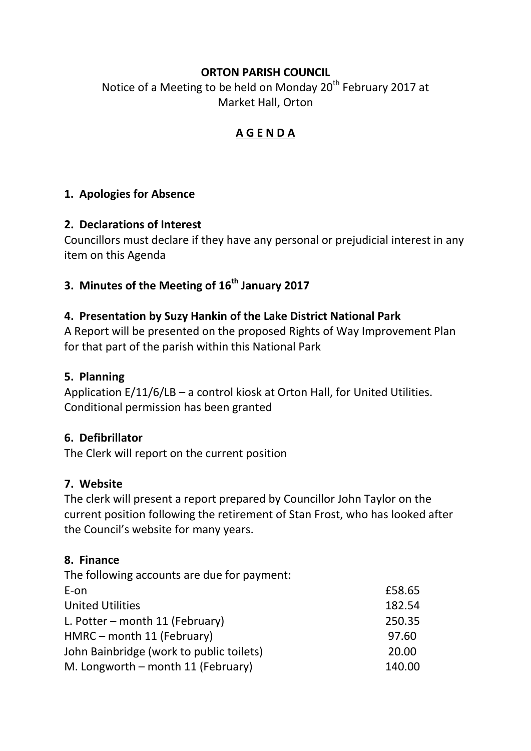## **ORTON PARISH COUNCIL**

Notice of a Meeting to be held on Monday 20<sup>th</sup> February 2017 at Market Hall, Orton

## **A G E N D A**

### **1. Apologies for Absence**

#### **2. Declarations of Interest**

Councillors must declare if they have any personal or prejudicial interest in any item on this Agenda

# **3. Minutes of the Meeting of 16th January 2017**

### **4. Presentation by Suzy Hankin of the Lake District National Park**

A Report will be presented on the proposed Rights of Way Improvement Plan for that part of the parish within this National Park

#### **5. Planning**

Application E/11/6/LB – a control kiosk at Orton Hall, for United Utilities. Conditional permission has been granted

#### **6. Defibrillator**

The Clerk will report on the current position

#### **7. Website**

The clerk will present a report prepared by Councillor John Taylor on the current position following the retirement of Stan Frost, who has looked after the Council's website for many years.

#### **8. Finance**

| The following accounts are due for payment: |        |
|---------------------------------------------|--------|
| E-on                                        | £58.65 |
| <b>United Utilities</b>                     | 182.54 |
| L. Potter – month 11 (February)             | 250.35 |
| HMRC - month 11 (February)                  | 97.60  |
| John Bainbridge (work to public toilets)    | 20.00  |
| M. Longworth – month 11 (February)          | 140.00 |